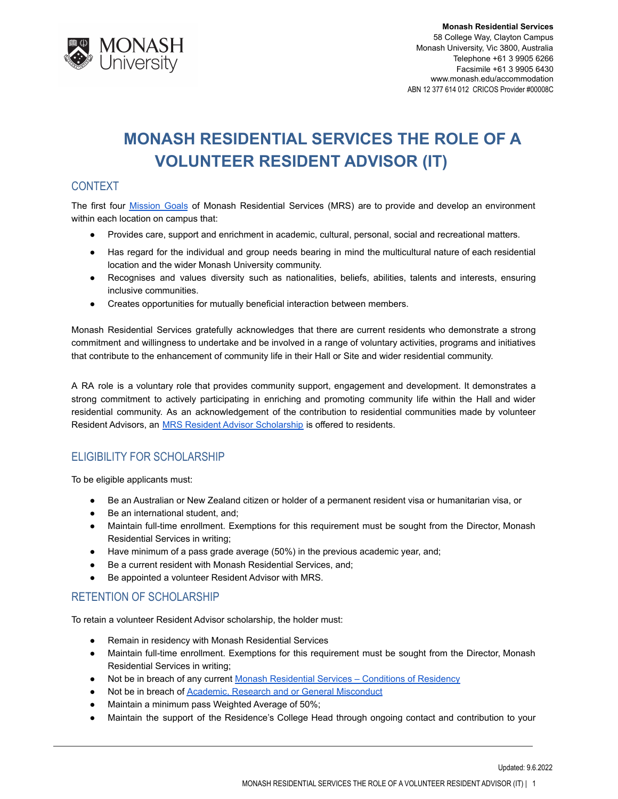

# **MONASH RESIDENTIAL SERVICES THE ROLE OF A VOLUNTEER RESIDENT ADVISOR (IT)**

# CONTEXT

The first four **[Mission](http://www.monash.edu/accommodation/contact/about-us) Goals of Monash Residential Services (MRS)** are to provide and develop an environment within each location on campus that:

- Provides care, support and enrichment in academic, cultural, personal, social and recreational matters.
- Has regard for the individual and group needs bearing in mind the multicultural nature of each residential location and the wider Monash University community.
- Recognises and values diversity such as nationalities, beliefs, abilities, talents and interests, ensuring inclusive communities.
- Creates opportunities for mutually beneficial interaction between members.

Monash Residential Services gratefully acknowledges that there are current residents who demonstrate a strong commitment and willingness to undertake and be involved in a range of voluntary activities, programs and initiatives that contribute to the enhancement of community life in their Hall or Site and wider residential community.

A RA role is a voluntary role that provides community support, engagement and development. It demonstrates a strong commitment to actively participating in enriching and promoting community life within the Hall and wider residential community. As an acknowledgement of the contribution to residential communities made by volunteer Resident Advisors, an **[MRS Resident Advisor Scholarship](http://www.monash.edu.au/students/scholarships/mrs-residential-advisor.html)** is offered to residents.

# ELIGIBILITY FOR SCHOLARSHIP

To be eligible applicants must:

- Be an Australian or New Zealand citizen or holder of a permanent resident visa or humanitarian visa, or
- Be an international student, and;
- Maintain full-time enrollment. Exemptions for this requirement must be sought from the Director, Monash Residential Services in writing;
- Have minimum of a pass grade average (50%) in the previous academic year, and;
- Be a current resident with Monash Residential Services, and;
- Be appointed a volunteer Resident Advisor with MRS.

### RETENTION OF SCHOLARSHIP

To retain a volunteer Resident Advisor scholarship, the holder must:

- Remain in residency with Monash Residential Services
- Maintain full-time enrollment. Exemptions for this requirement must be sought from the Director, Monash Residential Services in writing;
- Not be in breach of any current Monash Residential [Services Conditions of Residency](https://www.monash.edu/accommodation/accommodation/regulations-and-policies/conditions-of-residency)
- Not be in breach of [Academic, Research and or General](https://mga.monash.edu/get-help/advocacy/misconduct/) Misconduct
- Maintain a minimum pass Weighted Average of 50%;
- Maintain the support of the Residence's College Head through ongoing contact and contribution to your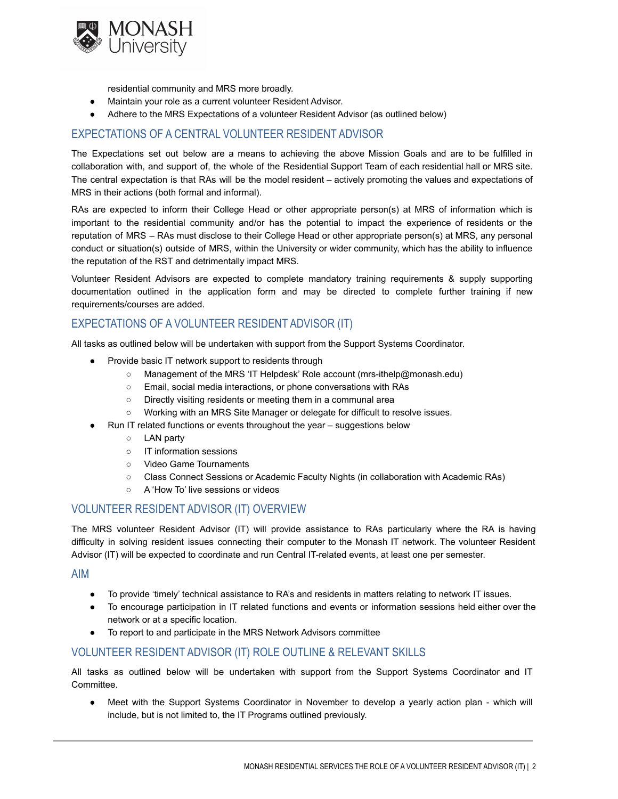

residential community and MRS more broadly.

- Maintain your role as a current volunteer Resident Advisor.
- Adhere to the MRS Expectations of a volunteer Resident Advisor (as outlined below)

## EXPECTATIONS OF A CENTRAL VOLUNTEER RESIDENT ADVISOR

The Expectations set out below are a means to achieving the above Mission Goals and are to be fulfilled in collaboration with, and support of, the whole of the Residential Support Team of each residential hall or MRS site. The central expectation is that RAs will be the model resident – actively promoting the values and expectations of MRS in their actions (both formal and informal).

RAs are expected to inform their College Head or other appropriate person(s) at MRS of information which is important to the residential community and/or has the potential to impact the experience of residents or the reputation of MRS – RAs must disclose to their College Head or other appropriate person(s) at MRS, any personal conduct or situation(s) outside of MRS, within the University or wider community, which has the ability to influence the reputation of the RST and detrimentally impact MRS.

Volunteer Resident Advisors are expected to complete mandatory training requirements & supply supporting documentation outlined in the application form and may be directed to complete further training if new requirements/courses are added.

## EXPECTATIONS OF A VOLUNTEER RESIDENT ADVISOR (IT)

All tasks as outlined below will be undertaken with support from the Support Systems Coordinator.

- Provide basic IT network support to residents through
	- Management of the MRS 'IT Helpdesk' Role account (mrs-ithelp@monash.edu)
	- Email, social media interactions, or phone conversations with RAs
	- Directly visiting residents or meeting them in a communal area
	- Working with an MRS Site Manager or delegate for difficult to resolve issues.
- Run IT related functions or events throughout the year suggestions below
	- LAN party
	- IT information sessions
	- Video Game Tournaments
	- Class Connect Sessions or Academic Faculty Nights (in collaboration with Academic RAs)
	- A 'How To' live sessions or videos

#### VOLUNTEER RESIDENT ADVISOR (IT) OVERVIEW

The MRS volunteer Resident Advisor (IT) will provide assistance to RAs particularly where the RA is having difficulty in solving resident issues connecting their computer to the Monash IT network. The volunteer Resident Advisor (IT) will be expected to coordinate and run Central IT-related events, at least one per semester.

AIM

- To provide 'timely' technical assistance to RA's and residents in matters relating to network IT issues.
- To encourage participation in IT related functions and events or information sessions held either over the network or at a specific location.
- To report to and participate in the MRS Network Advisors committee

### VOLUNTEER RESIDENT ADVISOR (IT) ROLE OUTLINE & RELEVANT SKILLS

All tasks as outlined below will be undertaken with support from the Support Systems Coordinator and IT Committee.

Meet with the Support Systems Coordinator in November to develop a yearly action plan - which will include, but is not limited to, the IT Programs outlined previously.